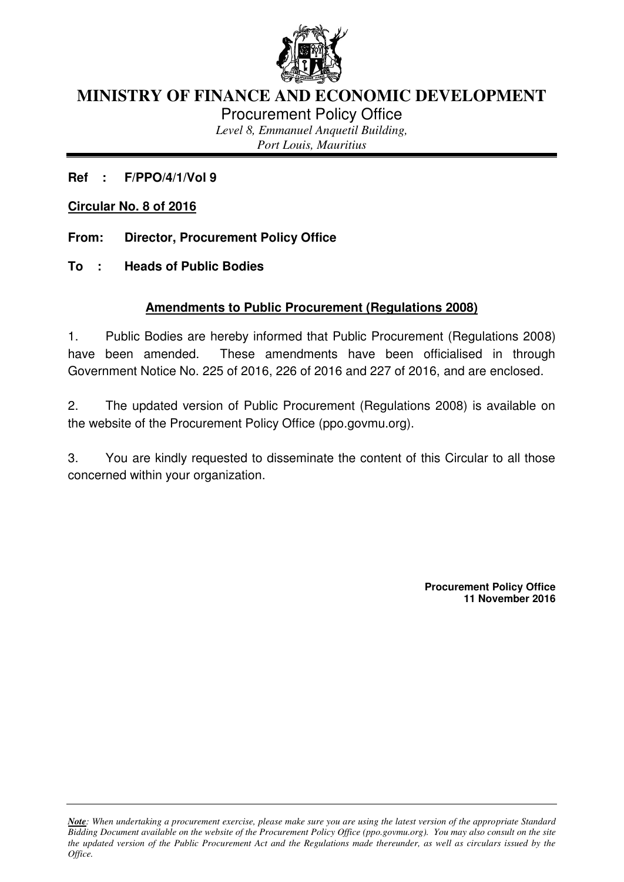

# **MINISTRY OF FINANCE AND ECONOMIC DEVELOPMENT**

Procurement Policy Office

*Level 8, Emmanuel Anquetil Building, Port Louis, Mauritius*

**Ref : F/PPO/4/1/Vol 9** 

**Circular No. 8 of 2016**

**From: Director, Procurement Policy Office** 

**To : Heads of Public Bodies** 

## **Amendments to Public Procurement (Regulations 2008)**

1. Public Bodies are hereby informed that Public Procurement (Regulations 2008) have been amended. These amendments have been officialised in through Government Notice No. 225 of 2016, 226 of 2016 and 227 of 2016, and are enclosed.

2. The updated version of Public Procurement (Regulations 2008) is available on the website of the Procurement Policy Office (ppo.govmu.org).

3. You are kindly requested to disseminate the content of this Circular to all those concerned within your organization.

> **Procurement Policy Office 11 November 2016**

*Note: When undertaking a procurement exercise, please make sure you are using the latest version of the appropriate Standard Bidding Document available on the website of the Procurement Policy Office (ppo.govmu.org). You may also consult on the site the updated version of the Public Procurement Act and the Regulations made thereunder, as well as circulars issued by the Office.*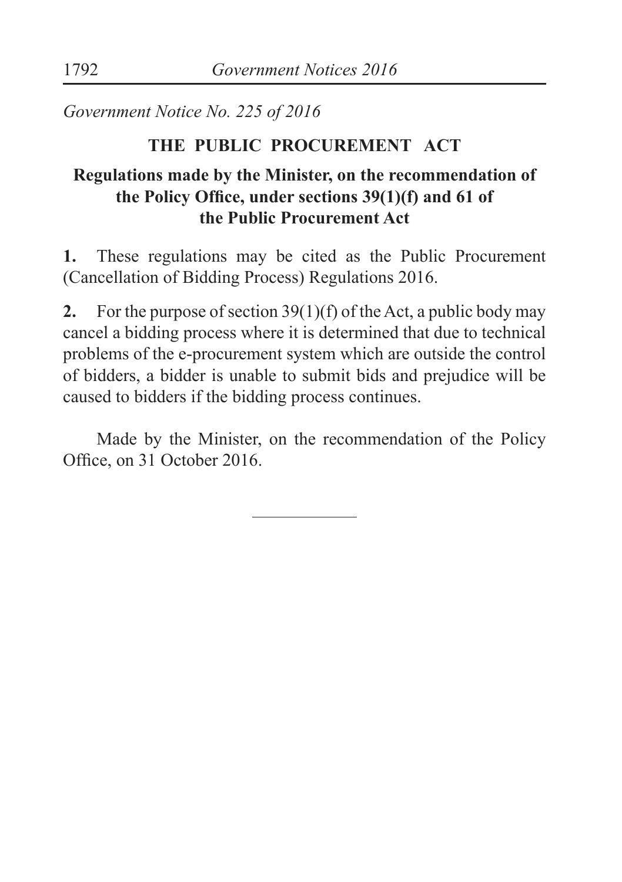*Government Notice No. 225 of 2016*

#### **THE PUBLIC PROCUREMENT ACT**

## **Regulations made by the Minister, on the recommendation of the Policy Ofice, under sections 39(1)(f) and 61 of the Public Procurement Act**

**1.** These regulations may be cited as the Public Procurement (Cancellation of Bidding Process) Regulations 2016.

**2.** For the purpose of section 39(1)(f) of the Act, a public body may cancel a bidding process where it is determined that due to technical problems of the e-procurement system which are outside the control of bidders, a bidder is unable to submit bids and prejudice will be caused to bidders if the bidding process continues.

 Made by the Minister, on the recommendation of the Policy Ofice, on 31 October 2016.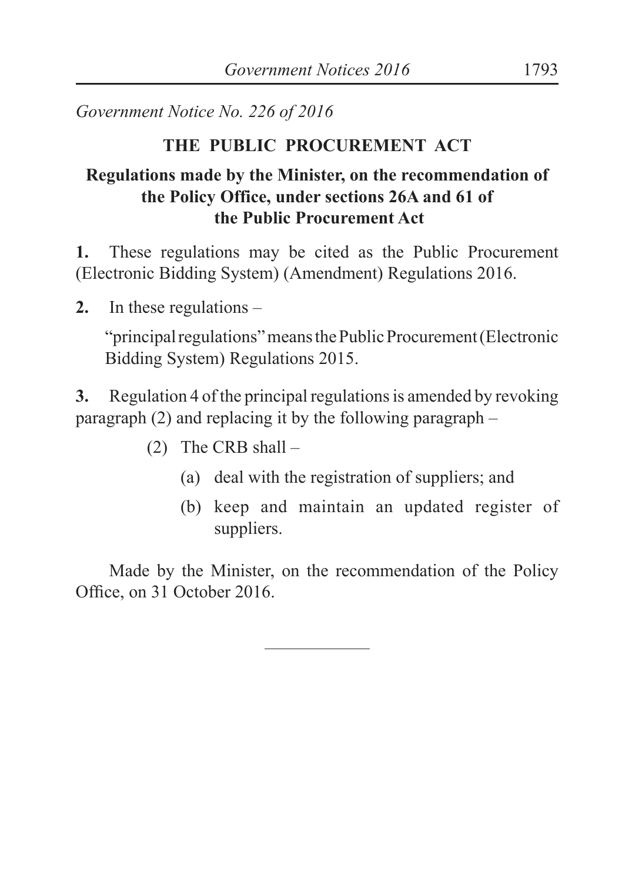*Government Notice No. 226 of 2016*

#### **THE PUBLIC PROCUREMENT ACT**

### **Regulations made by the Minister, on the recommendation of the Policy Office, under sections 26A and 61 of the Public Procurement Act**

**1.** These regulations may be cited as the Public Procurement (Electronic Bidding System) (Amendment) Regulations 2016.

**2.** In these regulations –

"principal regulations" means the Public Procurement (Electronic Bidding System) Regulations 2015.

**3.** Regulation 4 of the principal regulations is amended by revoking paragraph (2) and replacing it by the following paragraph –

- (2) The CRB shall
	- (a) deal with the registration of suppliers; and
	- (b) keep and maintain an updated register of suppliers.

 Made by the Minister, on the recommendation of the Policy Ofice, on 31 October 2016.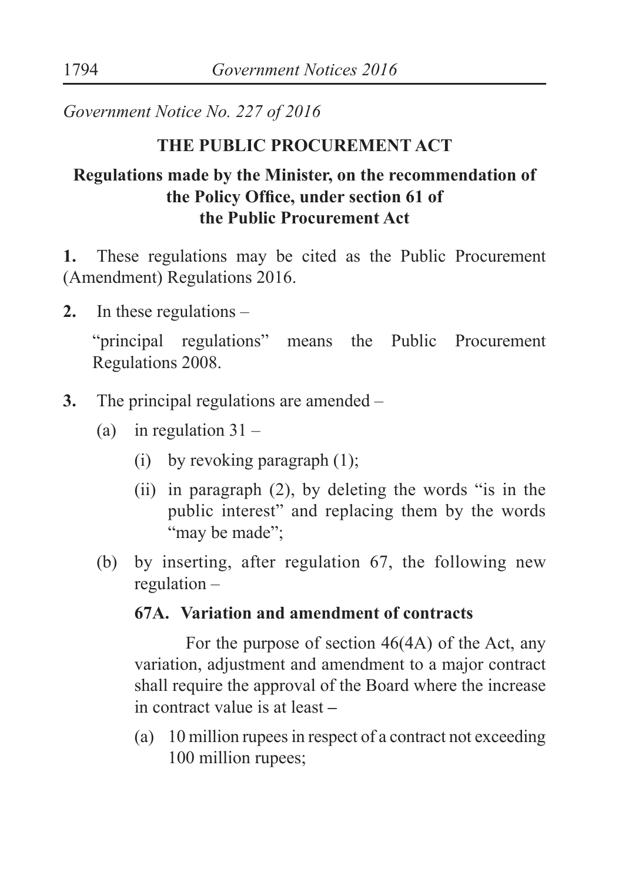*Government Notice No. 227 of 2016*

#### **THE PUBLIC PROCUREMENT ACT**

## **Regulations made by the Minister, on the recommendation of the Policy Ofice, under section 61 of the Public Procurement Act**

**1.** These regulations may be cited as the Public Procurement (Amendment) Regulations 2016.

**2.** In these regulations –

"principal regulations" means the Public Procurement Regulations 2008.

- **3.** The principal regulations are amended
	- (a) in regulation  $31 -$ 
		- (i) by revoking paragraph (1);
		- (ii) in paragraph (2), by deleting the words "is in the public interest" and replacing them by the words "may be made":
	- (b) by inserting, after regulation 67, the following new regulation –

#### **67A. Variation and amendment of contracts**

 For the purpose of section 46(4A) of the Act, any variation, adjustment and amendment to a major contract shall require the approval of the Board where the increase in contract value is at least **–** 

 (a) 10 million rupees in respect of a contract not exceeding 100 million rupees;